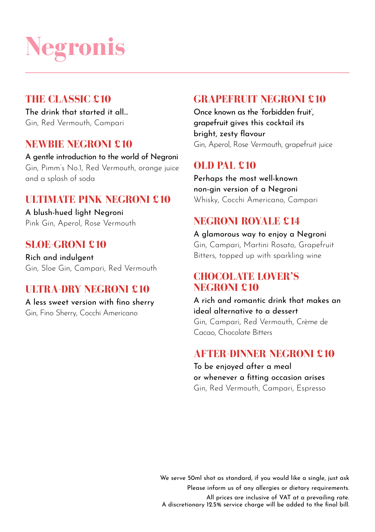# **Negronis**

#### **THE CLASSIC £10**

The drink that started it all… Gin, Red Vermouth, Campari

#### **NEWBIE NEGRONI £10**

A gentle introduction to the world of Negroni Gin, Pimm's No.1, Red Vermouth, orange juice and a splash of soda

#### **ULTIMATE PINK NEGRONI £10**

A blush-hued light Negroni Pink Gin, Aperol, Rose Vermouth

#### **SLOE-GRONI £10**

Rich and indulgent Gin, Sloe Gin, Campari, Red Vermouth

#### **ULTRA-DRY NEGRONI £10**

A less sweet version with fino sherry Gin, Fino Sherry, Cocchi Americano

#### **GRAPEFRUIT NEGRONI £10**

Once known as the 'forbidden fruit' grapefruit gives this cocktail its bright, zesty flavour Gin, Aperol, Rose Vermouth, grapefruit juice

#### **OLD PAL £10**

Perhaps the most well-known non-gin version of a Negroni Whisky, Cocchi Americano, Campari

#### **NEGRONI ROYALE £14**

A glamorous way to enjoy a Negroni Gin, Campari, Martini Rosato, Grapefruit Bitters, topped up with sparkling wine

#### **CHOCOLATE LOVER'S NEGRONI £10**

A rich and romantic drink that makes an ideal alternative to a dessert Gin, Campari, Red Vermouth, Crème de Cacao, Chocolate Bitters

#### **AFTER-DINNER NEGRONI £10**

To be enjoyed after a meal or whenever a fitting occasion arises Gin, Red Vermouth, Campari, Espresso

We serve 50ml shot as standard, if you would like a single, just ask Please inform us of any allergies or dietary requirements.

All prices are inclusive of VAT at a prevailing rate. A discretionary 12.5% service charge will be added to the final bill.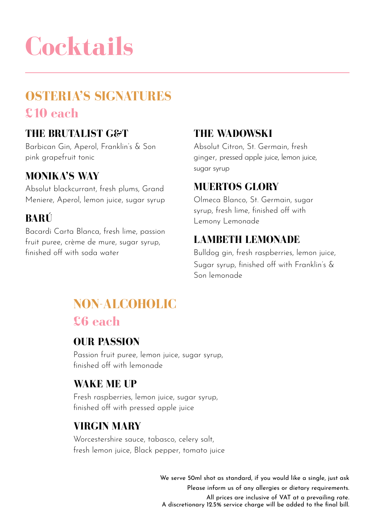# **Cocktails**

# **OSTERIA'S SIGNATURES £10 each THE BRUTALIST G&T**

Barbican Gin, Aperol, Franklin's & Son pink grapefruit tonic

#### **MONIKA'S WAY**

Absolut blackcurrant, fresh plums, Grand Meniere, Aperol, lemon juice, sugar syrup

### **BARÚ**

Bacardi Carta Blanca, fresh lime, passion fruit puree, crème de mure, sugar syrup, finished off with soda water

#### **THE WADOWSKI**

Absolut Citron, St. Germain, fresh ginger, pressed apple juice, lemon juice, sugar syrup

#### **MUERTOS GLORY**

Olmeca Blanco, St. Germain, sugar syrup, fresh lime, finished off with Lemony Lemonade

#### **LAMBETH LEMONADE**

Bulldog gin, fresh raspberries, lemon juice, Sugar syrup, finished off with Franklin's & Son lemonade

## **NON-ALCOHOLIC £6 each**

#### **OUR PASSION**

Passion fruit puree, lemon juice, sugar syrup, finished off with lemonade

#### **WAKE ME UP**

Fresh raspberries, lemon juice, sugar syrup, finished off with pressed apple juice

#### **VIRGIN MARY**

Worcestershire sauce, tabasco, celery salt, fresh lemon juice, Black pepper, tomato juice

> We serve 50ml shot as standard, if you would like a single, just ask Please inform us of any allergies or dietary requirements. All prices are inclusive of VAT at a prevailing rate. A discretionary 12.5% service charge will be added to the final bill.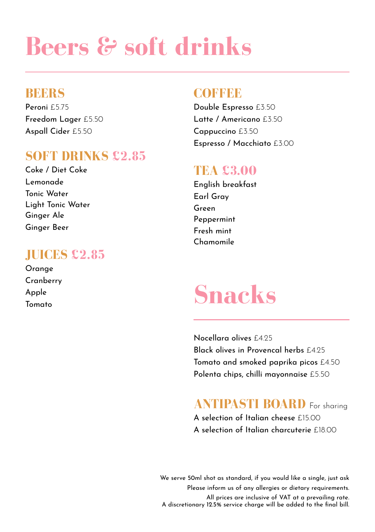# **Beers & soft drinks**

#### **BEERS**

Peroni £5.75 Freedom Lager £5.50 Aspall Cider £5.50

# **SOFT DRINKS £2.85** Coke / Diet Coke

Lemonade Tonic Water Light Tonic Water Ginger Ale Ginger Beer

### **JUICES £2.85**

Orange Cranberry Apple Tomato

### **COFFEE**

Double Espresso £3.50 Latte / Americano £3.50 Cappuccino £3.50 Espresso / Macchiato £3.00

### **TEA £3.00**

English breakfast Earl Gray Green Peppermint Fresh mint Chamomile

# **Snacks**

Nocellara olives £4.25 Black olives in Provencal herbs £4.25 Tomato and smoked paprika picos £4.50 Polenta chips, chilli mayonnaise £5.50

# **ANTIPASTI BOARD** For sharing

A selection of Italian cheese £15.00 A selection of Italian charcuterie £18.00

We serve 50ml shot as standard, if you would like a single, just ask Please inform us of any allergies or dietary requirements. All prices are inclusive of VAT at a prevailing rate.

A discretionary 12.5% service charge will be added to the final bill.